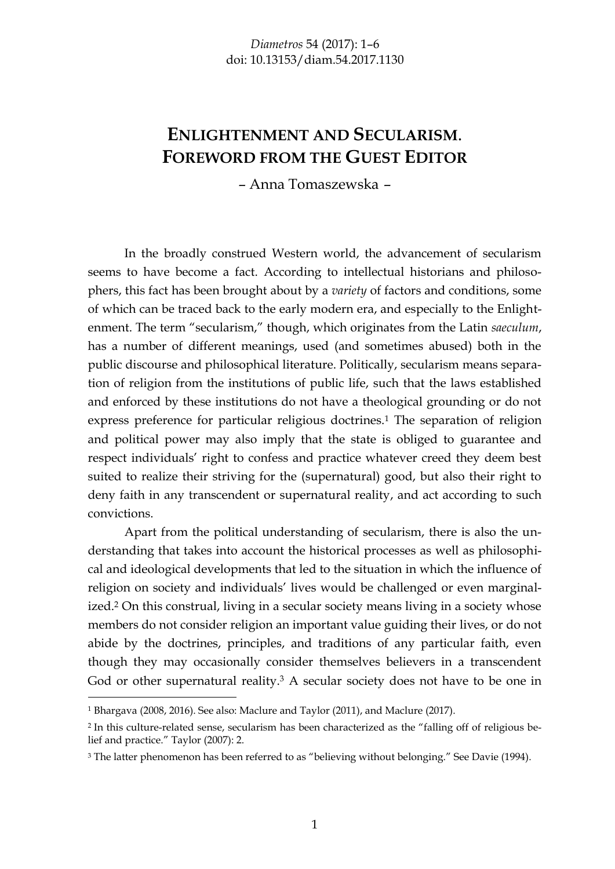## **ENLIGHTENMENT AND SECULARISM**. **FOREWORD FROM THE GUEST EDITOR**

– Anna Tomaszewska –

In the broadly construed Western world, the advancement of secularism seems to have become a fact. According to intellectual historians and philosophers, this fact has been brought about by a *variety* of factors and conditions, some of which can be traced back to the early modern era, and especially to the Enlightenment. The term "secularism," though, which originates from the Latin *saeculum*, has a number of different meanings, used (and sometimes abused) both in the public discourse and philosophical literature. Politically, secularism means separation of religion from the institutions of public life, such that the laws established and enforced by these institutions do not have a theological grounding or do not express preference for particular religious doctrines.<sup>1</sup> The separation of religion and political power may also imply that the state is obliged to guarantee and respect individuals' right to confess and practice whatever creed they deem best suited to realize their striving for the (supernatural) good, but also their right to deny faith in any transcendent or supernatural reality, and act according to such convictions.

Apart from the political understanding of secularism, there is also the understanding that takes into account the historical processes as well as philosophical and ideological developments that led to the situation in which the influence of religion on society and individuals' lives would be challenged or even marginalized.2 On this construal, living in a secular society means living in a society whose members do not consider religion an important value guiding their lives, or do not abide by the doctrines, principles, and traditions of any particular faith, even though they may occasionally consider themselves believers in a transcendent God or other supernatural reality.<sup>3</sup> A secular society does not have to be one in

<sup>1</sup> Bhargava (2008, 2016). See also: Maclure and Taylor (2011), and Maclure (2017).

<sup>2</sup> In this culture-related sense, secularism has been characterized as the "falling off of religious belief and practice." Taylor (2007): 2.

<sup>3</sup> The latter phenomenon has been referred to as "believing without belonging." See Davie (1994).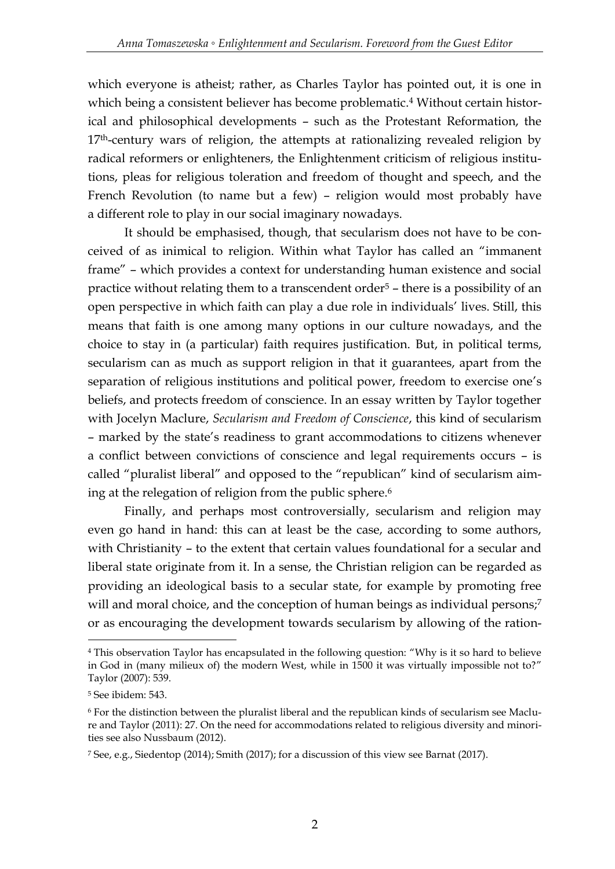which everyone is atheist; rather, as Charles Taylor has pointed out, it is one in which being a consistent believer has become problematic.<sup>4</sup> Without certain historical and philosophical developments – such as the Protestant Reformation, the  $17<sup>th</sup>$ -century wars of religion, the attempts at rationalizing revealed religion by radical reformers or enlighteners, the Enlightenment criticism of religious institutions, pleas for religious toleration and freedom of thought and speech, and the French Revolution (to name but a few) – religion would most probably have a different role to play in our social imaginary nowadays.

It should be emphasised, though, that secularism does not have to be conceived of as inimical to religion. Within what Taylor has called an "immanent frame" – which provides a context for understanding human existence and social practice without relating them to a transcendent order<sup>5</sup> – there is a possibility of an open perspective in which faith can play a due role in individuals' lives. Still, this means that faith is one among many options in our culture nowadays, and the choice to stay in (a particular) faith requires justification. But, in political terms, secularism can as much as support religion in that it guarantees, apart from the separation of religious institutions and political power, freedom to exercise one's beliefs, and protects freedom of conscience. In an essay written by Taylor together with Jocelyn Maclure, *Secularism and Freedom of Conscience*, this kind of secularism – marked by the state's readiness to grant accommodations to citizens whenever a conflict between convictions of conscience and legal requirements occurs – is called "pluralist liberal" and opposed to the "republican" kind of secularism aiming at the relegation of religion from the public sphere.<sup>6</sup>

Finally, and perhaps most controversially, secularism and religion may even go hand in hand: this can at least be the case, according to some authors, with Christianity – to the extent that certain values foundational for a secular and liberal state originate from it. In a sense, the Christian religion can be regarded as providing an ideological basis to a secular state, for example by promoting free will and moral choice, and the conception of human beings as individual persons;<sup>7</sup> or as encouraging the development towards secularism by allowing of the ration-

-

<sup>4</sup> This observation Taylor has encapsulated in the following question: "Why is it so hard to believe in God in (many milieux of) the modern West, while in 1500 it was virtually impossible not to?" Taylor (2007): 539.

<sup>5</sup> See ibidem: 543.

<sup>6</sup> For the distinction between the pluralist liberal and the republican kinds of secularism see Maclure and Taylor (2011): 27. On the need for accommodations related to religious diversity and minorities see also Nussbaum (2012).

<sup>7</sup> See, e.g., Siedentop (2014); Smith (2017); for a discussion of this view see Barnat (2017).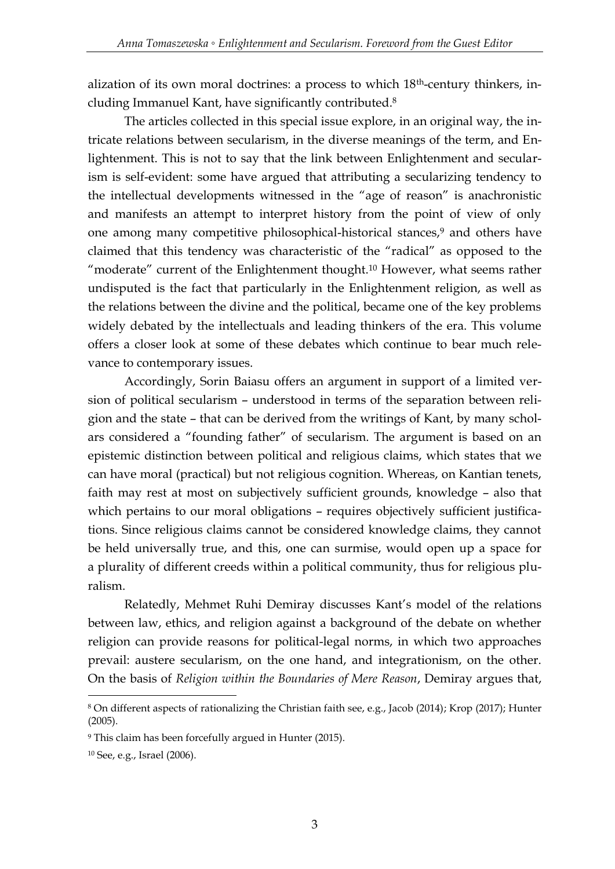alization of its own moral doctrines: a process to which 18th-century thinkers, including Immanuel Kant, have significantly contributed.<sup>8</sup>

The articles collected in this special issue explore, in an original way, the intricate relations between secularism, in the diverse meanings of the term, and Enlightenment. This is not to say that the link between Enlightenment and secularism is self-evident: some have argued that attributing a secularizing tendency to the intellectual developments witnessed in the "age of reason" is anachronistic and manifests an attempt to interpret history from the point of view of only one among many competitive philosophical-historical stances,<sup>9</sup> and others have claimed that this tendency was characteristic of the "radical" as opposed to the "moderate" current of the Enlightenment thought.<sup>10</sup> However, what seems rather undisputed is the fact that particularly in the Enlightenment religion, as well as the relations between the divine and the political, became one of the key problems widely debated by the intellectuals and leading thinkers of the era. This volume offers a closer look at some of these debates which continue to bear much relevance to contemporary issues.

Accordingly, Sorin Baiasu offers an argument in support of a limited version of political secularism – understood in terms of the separation between religion and the state – that can be derived from the writings of Kant, by many scholars considered a "founding father" of secularism. The argument is based on an epistemic distinction between political and religious claims, which states that we can have moral (practical) but not religious cognition. Whereas, on Kantian tenets, faith may rest at most on subjectively sufficient grounds, knowledge – also that which pertains to our moral obligations - requires objectively sufficient justifications. Since religious claims cannot be considered knowledge claims, they cannot be held universally true, and this, one can surmise, would open up a space for a plurality of different creeds within a political community, thus for religious pluralism.

Relatedly, Mehmet Ruhi Demiray discusses Kant's model of the relations between law, ethics, and religion against a background of the debate on whether religion can provide reasons for political-legal norms, in which two approaches prevail: austere secularism, on the one hand, and integrationism, on the other. On the basis of *Religion within the Boundaries of Mere Reason*, Demiray argues that,

-

<sup>8</sup> On different aspects of rationalizing the Christian faith see, e.g., Jacob (2014); Krop (2017); Hunter (2005).

<sup>9</sup> This claim has been forcefully argued in Hunter (2015).

<sup>10</sup> See, e.g., Israel (2006).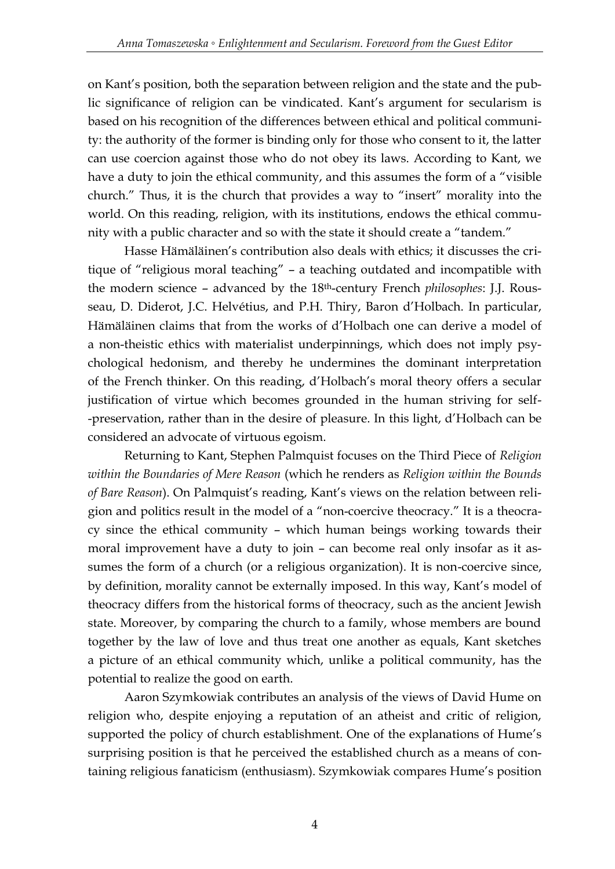on Kant's position, both the separation between religion and the state and the public significance of religion can be vindicated. Kant's argument for secularism is based on his recognition of the differences between ethical and political community: the authority of the former is binding only for those who consent to it, the latter can use coercion against those who do not obey its laws. According to Kant, we have a duty to join the ethical community, and this assumes the form of a "visible church." Thus, it is the church that provides a way to "insert" morality into the world. On this reading, religion, with its institutions, endows the ethical community with a public character and so with the state it should create a "tandem."

Hasse Hämäläinen's contribution also deals with ethics; it discusses the critique of "religious moral teaching" – a teaching outdated and incompatible with the modern science – advanced by the 18th-century French *philosophes*: J.J. Rousseau, D. Diderot, J.C. Helvétius, and P.H. Thiry, Baron d'Holbach. In particular, Hämäläinen claims that from the works of d'Holbach one can derive a model of a non-theistic ethics with materialist underpinnings, which does not imply psychological hedonism, and thereby he undermines the dominant interpretation of the French thinker. On this reading, d'Holbach's moral theory offers a secular justification of virtue which becomes grounded in the human striving for self- -preservation, rather than in the desire of pleasure. In this light, d'Holbach can be considered an advocate of virtuous egoism.

Returning to Kant, Stephen Palmquist focuses on the Third Piece of *Religion within the Boundaries of Mere Reason* (which he renders as *Religion within the Bounds of Bare Reason*). On Palmquist's reading, Kant's views on the relation between religion and politics result in the model of a "non-coercive theocracy." It is a theocracy since the ethical community – which human beings working towards their moral improvement have a duty to join – can become real only insofar as it assumes the form of a church (or a religious organization). It is non-coercive since, by definition, morality cannot be externally imposed. In this way, Kant's model of theocracy differs from the historical forms of theocracy, such as the ancient Jewish state. Moreover, by comparing the church to a family, whose members are bound together by the law of love and thus treat one another as equals, Kant sketches a picture of an ethical community which, unlike a political community, has the potential to realize the good on earth.

Aaron Szymkowiak contributes an analysis of the views of David Hume on religion who, despite enjoying a reputation of an atheist and critic of religion, supported the policy of church establishment. One of the explanations of Hume's surprising position is that he perceived the established church as a means of containing religious fanaticism (enthusiasm). Szymkowiak compares Hume's position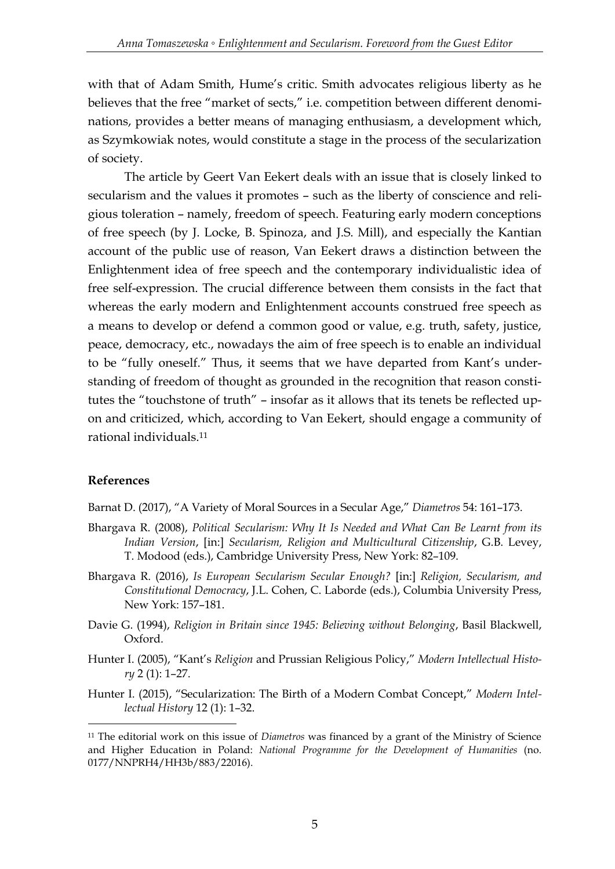with that of Adam Smith, Hume's critic. Smith advocates religious liberty as he believes that the free "market of sects," i.e. competition between different denominations, provides a better means of managing enthusiasm, a development which, as Szymkowiak notes, would constitute a stage in the process of the secularization of society.

The article by Geert Van Eekert deals with an issue that is closely linked to secularism and the values it promotes – such as the liberty of conscience and religious toleration – namely, freedom of speech. Featuring early modern conceptions of free speech (by J. Locke, B. Spinoza, and J.S. Mill), and especially the Kantian account of the public use of reason, Van Eekert draws a distinction between the Enlightenment idea of free speech and the contemporary individualistic idea of free self-expression. The crucial difference between them consists in the fact that whereas the early modern and Enlightenment accounts construed free speech as a means to develop or defend a common good or value, e.g. truth, safety, justice, peace, democracy, etc., nowadays the aim of free speech is to enable an individual to be "fully oneself." Thus, it seems that we have departed from Kant's understanding of freedom of thought as grounded in the recognition that reason constitutes the "touchstone of truth" – insofar as it allows that its tenets be reflected upon and criticized, which, according to Van Eekert, should engage a community of rational individuals.<sup>11</sup>

## **References**

-

Barnat D. (2017), "A Variety of Moral Sources in a Secular Age," *Diametros* 54: 161–173.

- Bhargava R. (2008), *Political Secularism: Why It Is Needed and What Can Be Learnt from its Indian Version*, [in:] *Secularism, Religion and Multicultural Citizenship*, G.B. Levey, T. Modood (eds.), Cambridge University Press, New York: 82–109.
- Bhargava R. (2016), *Is European Secularism Secular Enough?* [in:] *Religion, Secularism, and Constitutional Democracy*, J.L. Cohen, C. Laborde (eds.), Columbia University Press, New York: 157–181.
- Davie G. (1994), *Religion in Britain since 1945: Believing without Belonging*, Basil Blackwell, Oxford.
- Hunter I. (2005), "Kant's *Religion* and Prussian Religious Policy," *Modern Intellectual History* 2 (1): 1–27.
- Hunter I. (2015), "Secularization: The Birth of a Modern Combat Concept," *Modern Intellectual History* 12 (1): 1–32.

<sup>11</sup> The editorial work on this issue of *Diametros* was financed by a grant of the Ministry of Science and Higher Education in Poland: *National Programme for the Development of Humanities* (no. 0177/NNPRH4/HH3b/883/22016).